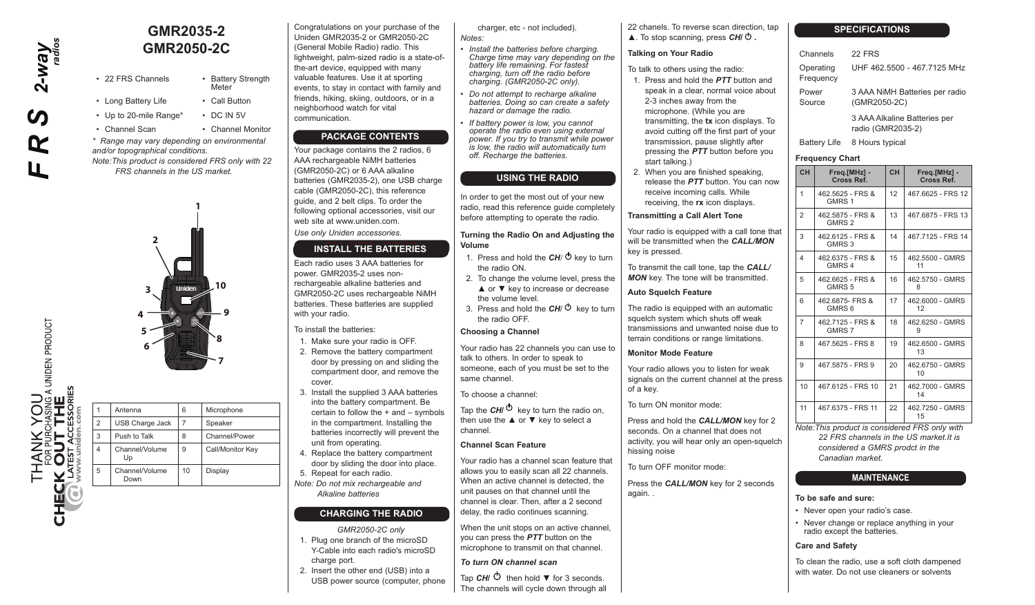

**PRODUCT** 

**UNIDEN F** 

# **GMR2035-2 GMR2050-2C**

- 22 FRS Channels Battery Strength Meter • Long Battery Life • Call Button
- Un to 20-mile Range\* DC IN 5V
- Channel Scan Channel Monitor *\* Range may vary depending on environmental and/or topographical conditions. Note:This product is considered FRS only with 22*

*FRS channels in the US market.* 

**1**



THANK YOU<br>FOR PURCHASING A UN<br>I**K OUT THE**<br>NATEST ACCESSORIES Antenna 6 Microphone 2 USB Charge Jack 7 Speaker  $3 \mid$  Push to Talk  $\mid 8 \mid$  Channel/Power Channel/Volume 9 Call/Monitor Key Up Channel/Volume 10 Display **HECK** Down

Congratulations on your purchase of the Uniden GMR2035-2 or GMR2050-2C (General Mobile Radio) radio. This lightweight, palm-sized radio is a state-ofthe-art device, equipped with many valuable features. Use it at sporting events, to stay in contact with family and friends, hiking, skiing, outdoors, or in a

#### neighborhood watch for vital communication.

# **PACKAGE CONTENTS**

Your package contains the 2 radios, 6 AAA rechargeable NiMH batteries (GMR2050-2C) or 6 AAA alkaline batteries (GMR2035-2), one USB charge cable (GMR2050-2C), this reference guide, and 2 belt clips. To order the following optional accessories, visit our web site at www.uniden.com.

*Use only Uniden accessories.*

# **INSTALL THE BATTERIES**

Each radio uses 3 AAA batteries for power. GMR2035-2 uses nonrechargeable alkaline batteries and GMR2050-2C uses rechargeable NiMH batteries. These batteries are supplied with your radio.

#### To install the batteries:

- 1. Make sure your radio is OFF.
- 2. Remove the battery compartment door by pressing on and sliding the compartment door, and remove the cover.
- 3. Install the supplied 3 AAA batteries into the battery compartment. Be certain to follow the + and – symbols in the compartment. Installing the batteries incorrectly will prevent the
	- unit from operating.
- 4. Replace the battery compartment door by sliding the door into place. 5. Repeat for each radio.
- *Note: Do not mix rechargeable and Alkaline batteries*

# **CHARGING THE RADIO**

- *GMR2050-2C only* 1. Plug one branch of the microSD Y-Cable into each radio's microSD
- charge port. 2. Insert the other end (USB) into a
- USB power source (computer, phone

charger, etc - not included). *Notes:*

- *• Install the batteries before charging. Charge time may vary depending on the battery life remaining. For fastest charging, turn off the radio before charging. (GMR2050-2C only).*
- *• Do not attempt to recharge alkaline batteries. Doing so can create a safety hazard or damage the radio.*
- *• If battery power is low, you cannot operate the radio even using external power. If you try to transmit while power is low, the radio will automatically turn off. Recharge the batteries.*

# **USING THE RADIO**

In order to get the most out of your new radio, read this reference guide completely before attempting to operate the radio.

# **Turning the Radio On and Adjusting the Volume**

- 1. Press and hold the  $CH/\bullet$  key to turn the radio ON.
- 2. To change the volume level, press the ▲ or ▼ key to increase or decrease the volume level.
- 3. Press and hold the  $CH/\bullet$  key to turn the radio OFF.

# **Choosing a Channel**

Your radio has 22 channels you can use to talk to others. In order to speak to someone, each of you must be set to the same channel.

To choose a channel:

Tap the  $CH^{0}$  key to turn the radio on, then use the ▲ or ▼ key to select a channel.

# **Channel Scan Feature**

Your radio has a channel scan feature that allows you to easily scan all 22 channels. When an active channel is detected, the unit pauses on that channel until the channel is clear. Then, after a 2 second delay, the radio continues scanning.

When the unit stops on an active channel. you can press the *PTT* button on the microphone to transmit on that channel.

#### *To turn ON channel scan*

Tap  $CH \circlearrowright$  then hold  $\blacktriangledown$  for 3 seconds. The channels will cycle down through all 22 chanels. To reverse scan direction, tap ▲. To stop scanning, press *CH***/ .**

# **Talking on Your Radio**

### To talk to others using the radio:

- 1. Press and hold the *PTT* button and speak in a clear, normal voice about 2-3 inches away from the microphone. (While you are transmitting, the **tx** icon displays. To avoid cutting off the first part of your transmission, pause slightly after pressing the *PTT* button before you start talking.)
- 2. When you are finished speaking, release the *PTT* button. You can now receive incoming calls. While receiving, the **rx** icon displays.

# **Transmitting a Call Alert Tone**

Your radio is equipped with a call tone that will be transmitted when the *CALL/MON* key is pressed.

To transmit the call tone, tap the *CALL/ MON* key. The tone will be transmitted.

# **Auto Squelch Feature**

The radio is equipped with an automatic squelch system which shuts off weak transmissions and unwanted noise due to terrain conditions or range limitations.

#### **Monitor Mode Feature**

Your radio allows you to listen for weak signals on the current channel at the press of a key.

To turn ON monitor mode:

Press and hold the *CALL/MON* key for 2 seconds. On a channel that does not activity, you will hear only an open-squelch hissing noise

To turn OFF monitor mode:

Press the *CALL/MON* key for 2 seconds again. .

#### **SPECIFICATIONS**

Channels 22 FRS **Operating Frequency** UHF 462.5500 - 467.7125 MHz

> 3 AAA NiMH Batteries per radio (GMR2050-2C)

> > 3 AAA Alkaline Batteries per radio (GMR2035-2)

Battery Life 8 Hours typical

# **Frequency Chart**

Power Source

| <b>CH</b>      | Freq.[MHz] -<br>Cross Ref.            | <b>CH</b> | Freq.[MHz] -<br>Cross Ref. |
|----------------|---------------------------------------|-----------|----------------------------|
| 1              | 462.5625 - FRS &<br>GMRS <sub>1</sub> | 12        | 467.6625 - FRS 12          |
| $\overline{2}$ | 462.5875 - FRS &<br>GMRS <sub>2</sub> | 13        | 467.6875 - FRS 13          |
| 3              | 462.6125 - FRS &<br>GMRS <sub>3</sub> | 14        | 467.7125 - FRS 14          |
| 4              | 462.6375 - FRS &<br>GMRS 4            | 15        | 462.5500 - GMRS<br>11      |
| 5              | 462.6625 - FRS &<br>GMRS <sub>5</sub> | 16        | 462.5750 - GMRS<br>8       |
| 6              | 462.6875- FRS &<br>GMRS <sub>6</sub>  | 17        | 462.6000 - GMRS<br>12      |
| 7              | 462.7125 - FRS &<br>GMRS <sub>7</sub> | 18        | 462.6250 - GMRS<br>9       |
| 8              | 467.5625 - FRS 8                      | 19        | 462.6500 - GMRS<br>13      |
| 9              | 467.5875 - FRS 9                      | 20        | 462.6750 - GMRS<br>10      |
| 10             | 467.6125 - FRS 10                     | 21        | 462.7000 - GMRS<br>14      |
| 11             | 467.6375 - FRS 11                     | 22        | 462.7250 - GMRS<br>15      |

*Note:This product is considered FRS only with 22 FRS channels in the US market.It is considered a GMRS prodct in the Canadian market.* 

# **MAINTENANCE**

# **To be safe and sure:**

- Never open your radio's case.
- Never change or replace anything in your radio except the batteries.

#### **Care and Safety**

To clean the radio, use a soft cloth dampened with water. Do not use cleaners or solvents